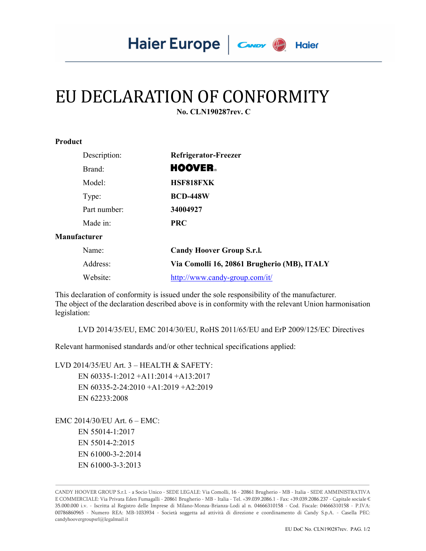## EU DECLARATION OF CONFORMITY

 **No. CLN190287rev. C** 

| Product |  |
|---------|--|
|---------|--|

| Description: | Refrigerator-Freezer                        |
|--------------|---------------------------------------------|
| Brand:       | <b>HOOVER</b>                               |
| Model:       | HSF818FXK                                   |
| Type:        | <b>BCD-448W</b>                             |
| Part number: | 34004927                                    |
| Made in:     | <b>PRC</b>                                  |
| Manufacturer |                                             |
| Name:        | <b>Candy Hoover Group S.r.l.</b>            |
| Address:     | Via Comolli 16, 20861 Brugherio (MB), ITALY |

This declaration of conformity is issued under the sole responsibility of the manufacturer. The object of the declaration described above is in conformity with the relevant Union harmonisation legislation:

LVD 2014/35/EU, EMC 2014/30/EU, RoHS 2011/65/EU and ErP 2009/125/EC Directives

Relevant harmonised standards and/or other technical specifications applied:

Website: http://www.candy-group.com/it/

LVD 2014/35/EU Art. 3 – HEALTH & SAFETY: EN 60335-1:2012 +A11:2014 +A13:2017 EN 60335-2-24:2010 +A1:2019 +A2:2019 EN 62233:2008

EMC 2014/30/EU Art. 6 – EMC: EN 55014-1:2017 EN 55014-2:2015 EN 61000-3-2:2014 EN 61000-3-3:2013

CANDY HOOVER GROUP S.r.l. - a Socio Unico - SEDE LEGALE: Via Comolli, 16 - 20861 Brugherio - MB - Italia - SEDE AMMINISTRATIVA E COMMERCIALE: Via Privata Eden Fumagalli - 20861 Brugherio - MB - Italia - Tel. +39.039.2086.1 - Fax: +39.039.2086.237 - Capitale sociale € 35.000.000 i.v. - Iscritta al Registro delle Imprese di Milano-Monza-Brianza-Lodi al n. 04666310158 - Cod. Fiscale: 04666310158 - P.IVA: 00786860965 - Numero REA: MB-1033934 - Società soggetta ad attività di direzione e coordinamento di Candy S.p.A. - Casella PEC: candyhoovergroupsrl@legalmail.it